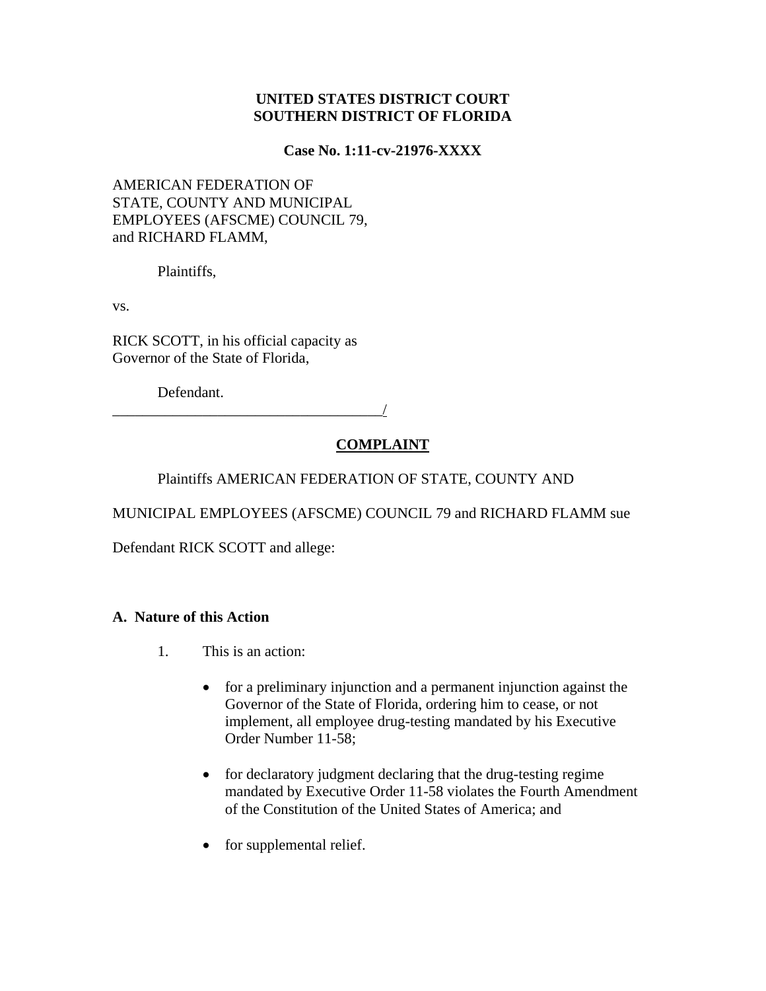# **UNITED STATES DISTRICT COURT SOUTHERN DISTRICT OF FLORIDA**

### **Case No. 1:11-cv-21976-XXXX**

# AMERICAN FEDERATION OF STATE, COUNTY AND MUNICIPAL EMPLOYEES (AFSCME) COUNCIL 79, and RICHARD FLAMM,

Plaintiffs,

vs.

RICK SCOTT, in his official capacity as Governor of the State of Florida,

Defendant.

\_\_\_\_\_\_\_\_\_\_\_\_\_\_\_\_\_\_\_\_\_\_\_\_\_\_\_\_\_\_\_\_\_\_\_\_/

# **COMPLAINT**

Plaintiffs AMERICAN FEDERATION OF STATE, COUNTY AND

MUNICIPAL EMPLOYEES (AFSCME) COUNCIL 79 and RICHARD FLAMM sue

Defendant RICK SCOTT and allege:

# **A. Nature of this Action**

- 1. This is an action:
	- for a preliminary injunction and a permanent injunction against the Governor of the State of Florida, ordering him to cease, or not implement, all employee drug-testing mandated by his Executive Order Number 11-58;
	- for declaratory judgment declaring that the drug-testing regime mandated by Executive Order 11-58 violates the Fourth Amendment of the Constitution of the United States of America; and
	- for supplemental relief.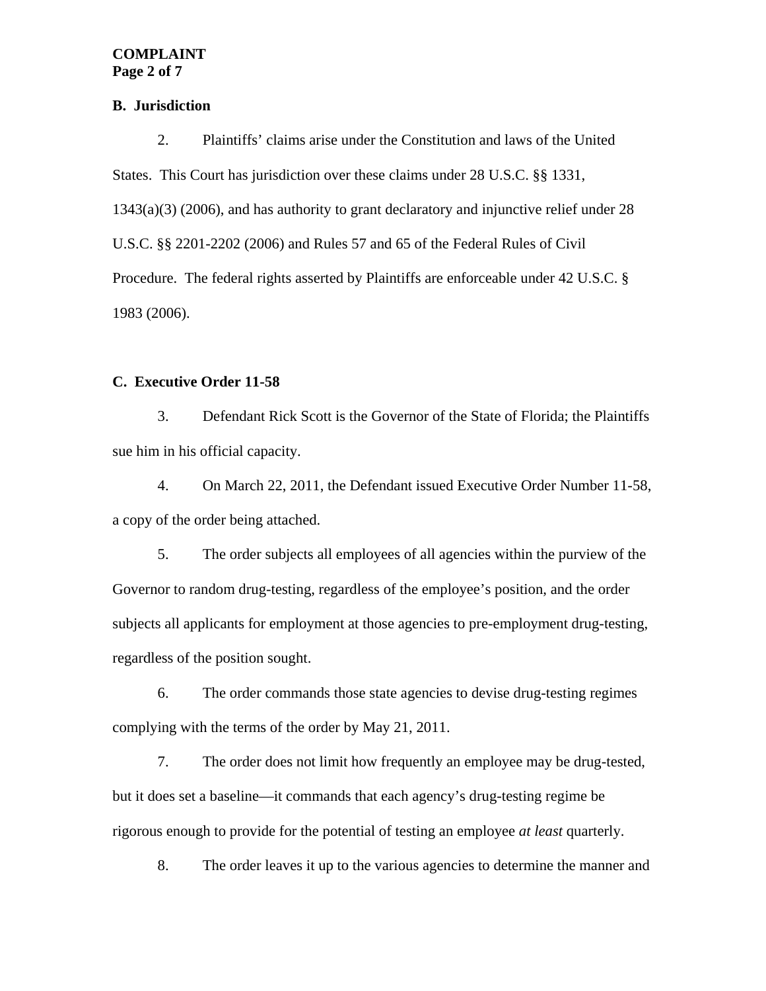#### **COMPLAINT Page 2 of 7**

#### **B. Jurisdiction**

2. Plaintiffs' claims arise under the Constitution and laws of the United States. This Court has jurisdiction over these claims under 28 U.S.C. §§ 1331, 1343(a)(3) (2006), and has authority to grant declaratory and injunctive relief under 28 U.S.C. §§ 2201-2202 (2006) and Rules 57 and 65 of the Federal Rules of Civil Procedure. The federal rights asserted by Plaintiffs are enforceable under 42 U.S.C. § 1983 (2006).

### **C. Executive Order 11-58**

3. Defendant Rick Scott is the Governor of the State of Florida; the Plaintiffs sue him in his official capacity.

4. On March 22, 2011, the Defendant issued Executive Order Number 11-58, a copy of the order being attached.

5. The order subjects all employees of all agencies within the purview of the Governor to random drug-testing, regardless of the employee's position, and the order subjects all applicants for employment at those agencies to pre-employment drug-testing, regardless of the position sought.

6. The order commands those state agencies to devise drug-testing regimes complying with the terms of the order by May 21, 2011.

7. The order does not limit how frequently an employee may be drug-tested, but it does set a baseline—it commands that each agency's drug-testing regime be rigorous enough to provide for the potential of testing an employee *at least* quarterly.

8. The order leaves it up to the various agencies to determine the manner and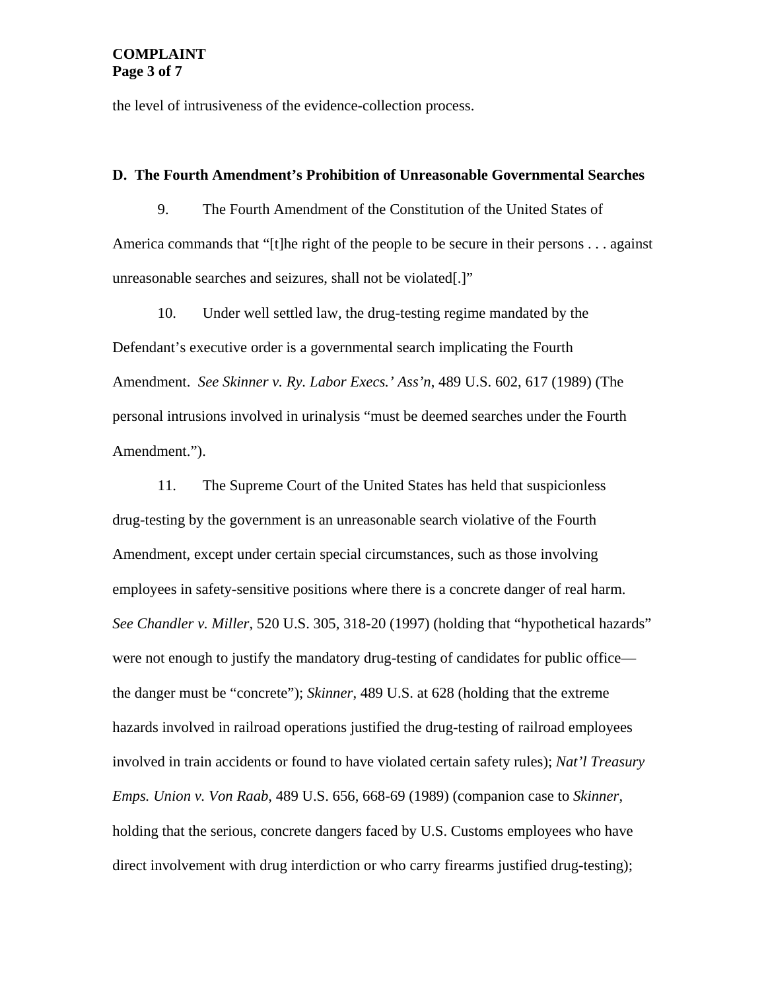the level of intrusiveness of the evidence-collection process.

#### **D. The Fourth Amendment's Prohibition of Unreasonable Governmental Searches**

9. The Fourth Amendment of the Constitution of the United States of America commands that "[t]he right of the people to be secure in their persons . . . against unreasonable searches and seizures, shall not be violated[.]"

10. Under well settled law, the drug-testing regime mandated by the Defendant's executive order is a governmental search implicating the Fourth Amendment. *See Skinner v. Ry. Labor Execs.' Ass'n*, 489 U.S. 602, 617 (1989) (The personal intrusions involved in urinalysis "must be deemed searches under the Fourth Amendment.").

11. The Supreme Court of the United States has held that suspicionless drug-testing by the government is an unreasonable search violative of the Fourth Amendment, except under certain special circumstances, such as those involving employees in safety-sensitive positions where there is a concrete danger of real harm. *See Chandler v. Miller*, 520 U.S. 305, 318-20 (1997) (holding that "hypothetical hazards" were not enough to justify the mandatory drug-testing of candidates for public office the danger must be "concrete"); *Skinner*, 489 U.S. at 628 (holding that the extreme hazards involved in railroad operations justified the drug-testing of railroad employees involved in train accidents or found to have violated certain safety rules); *Nat'l Treasury Emps. Union v. Von Raab*, 489 U.S. 656, 668-69 (1989) (companion case to *Skinner*, holding that the serious, concrete dangers faced by U.S. Customs employees who have direct involvement with drug interdiction or who carry firearms justified drug-testing);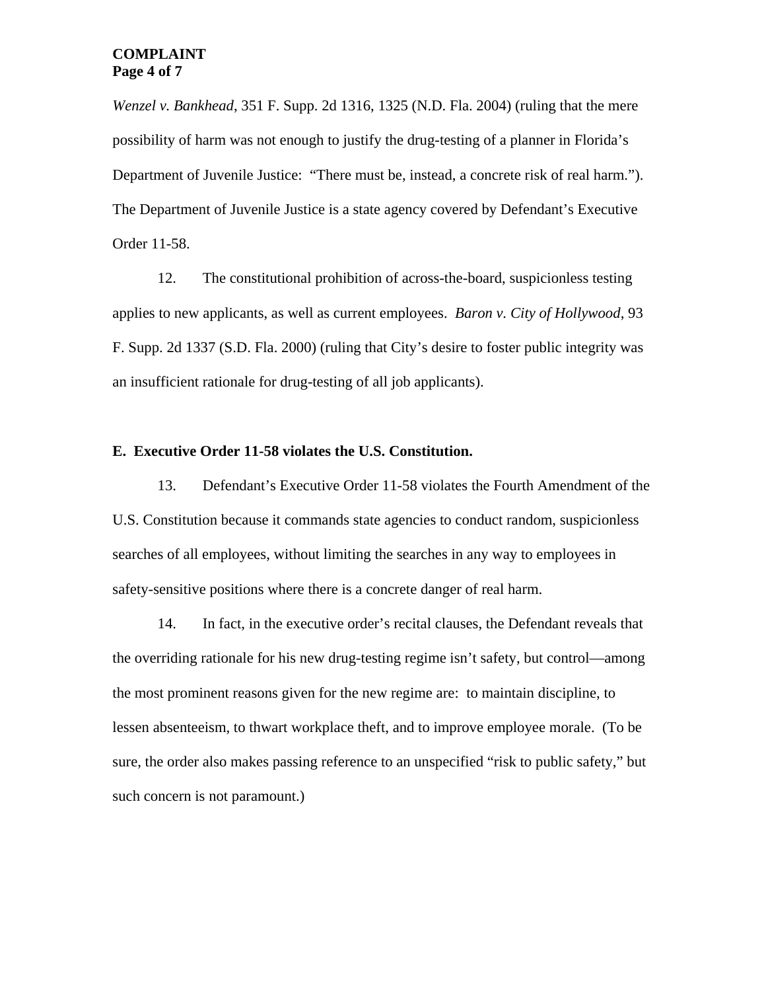### **COMPLAINT Page 4 of 7**

*Wenzel v. Bankhead*, 351 F. Supp. 2d 1316, 1325 (N.D. Fla. 2004) (ruling that the mere possibility of harm was not enough to justify the drug-testing of a planner in Florida's Department of Juvenile Justice: "There must be, instead, a concrete risk of real harm."). The Department of Juvenile Justice is a state agency covered by Defendant's Executive Order 11-58.

12. The constitutional prohibition of across-the-board, suspicionless testing applies to new applicants, as well as current employees. *Baron v. City of Hollywood*, 93 F. Supp. 2d 1337 (S.D. Fla. 2000) (ruling that City's desire to foster public integrity was an insufficient rationale for drug-testing of all job applicants).

#### **E. Executive Order 11-58 violates the U.S. Constitution.**

13. Defendant's Executive Order 11-58 violates the Fourth Amendment of the U.S. Constitution because it commands state agencies to conduct random, suspicionless searches of all employees, without limiting the searches in any way to employees in safety-sensitive positions where there is a concrete danger of real harm.

14. In fact, in the executive order's recital clauses, the Defendant reveals that the overriding rationale for his new drug-testing regime isn't safety, but control—among the most prominent reasons given for the new regime are: to maintain discipline, to lessen absenteeism, to thwart workplace theft, and to improve employee morale. (To be sure, the order also makes passing reference to an unspecified "risk to public safety," but such concern is not paramount.)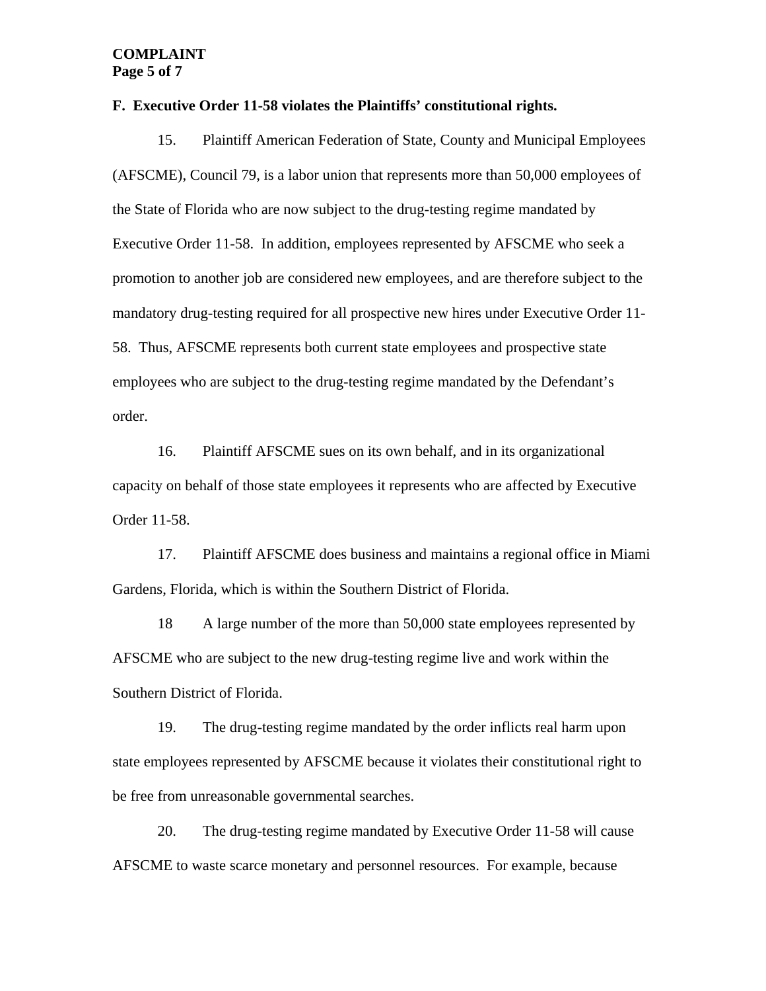#### **COMPLAINT Page 5 of 7**

#### **F. Executive Order 11-58 violates the Plaintiffs' constitutional rights.**

15. Plaintiff American Federation of State, County and Municipal Employees (AFSCME), Council 79, is a labor union that represents more than 50,000 employees of the State of Florida who are now subject to the drug-testing regime mandated by Executive Order 11-58. In addition, employees represented by AFSCME who seek a promotion to another job are considered new employees, and are therefore subject to the mandatory drug-testing required for all prospective new hires under Executive Order 11- 58. Thus, AFSCME represents both current state employees and prospective state employees who are subject to the drug-testing regime mandated by the Defendant's order.

16. Plaintiff AFSCME sues on its own behalf, and in its organizational capacity on behalf of those state employees it represents who are affected by Executive Order 11-58.

17. Plaintiff AFSCME does business and maintains a regional office in Miami Gardens, Florida, which is within the Southern District of Florida.

18 A large number of the more than 50,000 state employees represented by AFSCME who are subject to the new drug-testing regime live and work within the Southern District of Florida.

19. The drug-testing regime mandated by the order inflicts real harm upon state employees represented by AFSCME because it violates their constitutional right to be free from unreasonable governmental searches.

 20. The drug-testing regime mandated by Executive Order 11-58 will cause AFSCME to waste scarce monetary and personnel resources. For example, because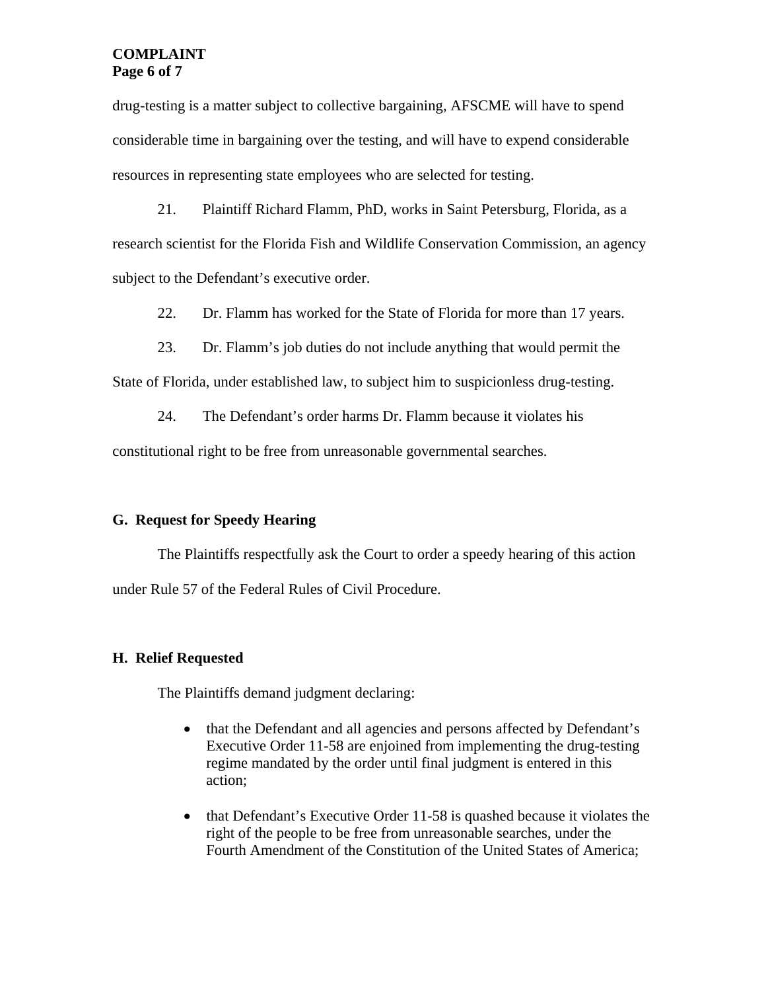## **COMPLAINT Page 6 of 7**

drug-testing is a matter subject to collective bargaining, AFSCME will have to spend considerable time in bargaining over the testing, and will have to expend considerable resources in representing state employees who are selected for testing.

21. Plaintiff Richard Flamm, PhD, works in Saint Petersburg, Florida, as a research scientist for the Florida Fish and Wildlife Conservation Commission, an agency subject to the Defendant's executive order.

22. Dr. Flamm has worked for the State of Florida for more than 17 years.

23. Dr. Flamm's job duties do not include anything that would permit the State of Florida, under established law, to subject him to suspicionless drug-testing.

24. The Defendant's order harms Dr. Flamm because it violates his constitutional right to be free from unreasonable governmental searches.

# **G. Request for Speedy Hearing**

 The Plaintiffs respectfully ask the Court to order a speedy hearing of this action under Rule 57 of the Federal Rules of Civil Procedure.

### **H. Relief Requested**

The Plaintiffs demand judgment declaring:

- that the Defendant and all agencies and persons affected by Defendant's Executive Order 11-58 are enjoined from implementing the drug-testing regime mandated by the order until final judgment is entered in this action;
- that Defendant's Executive Order 11-58 is quashed because it violates the right of the people to be free from unreasonable searches, under the Fourth Amendment of the Constitution of the United States of America;